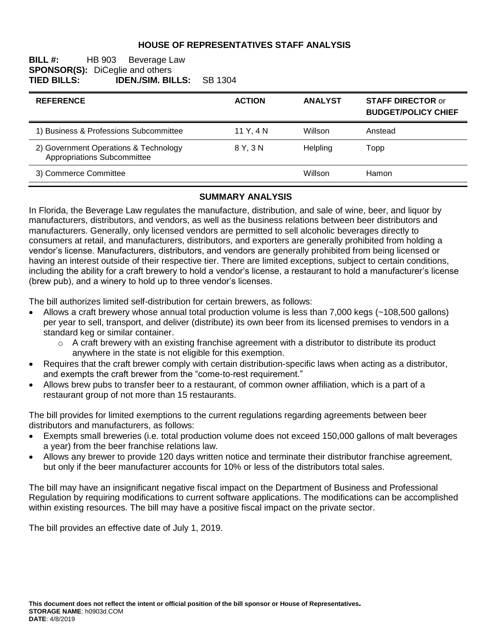### **HOUSE OF REPRESENTATIVES STAFF ANALYSIS**

#### **BILL #:** HB 903 Beverage Law **SPONSOR(S):** DiCeglie and others<br>**TIED BILLS: IDEN./SIM. BI TIED BILLS: IDEN./SIM. BILLS:** SB 1304

| <b>REFERENCE</b>                                                     | <b>ACTION</b> | <b>ANALYST</b> | <b>STAFF DIRECTOR or</b><br><b>BUDGET/POLICY CHIEF</b> |
|----------------------------------------------------------------------|---------------|----------------|--------------------------------------------------------|
| 1) Business & Professions Subcommittee                               | 11 Y, 4 N     | Willson        | Anstead                                                |
| 2) Government Operations & Technology<br>Appropriations Subcommittee | 8 Y. 3 N      | Helpling       | Topp                                                   |
| 3) Commerce Committee                                                |               | Willson        | Hamon                                                  |

#### **SUMMARY ANALYSIS**

In Florida, the Beverage Law regulates the manufacture, distribution, and sale of wine, beer, and liquor by manufacturers, distributors, and vendors, as well as the business relations between beer distributors and manufacturers. Generally, only licensed vendors are permitted to sell alcoholic beverages directly to consumers at retail, and manufacturers, distributors, and exporters are generally prohibited from holding a vendor's license. Manufacturers, distributors, and vendors are generally prohibited from being licensed or having an interest outside of their respective tier. There are limited exceptions, subject to certain conditions, including the ability for a craft brewery to hold a vendor's license, a restaurant to hold a manufacturer's license (brew pub), and a winery to hold up to three vendor's licenses.

The bill authorizes limited self-distribution for certain brewers, as follows:

- Allows a craft brewery whose annual total production volume is less than 7,000 kegs (~108,500 gallons) per year to sell, transport, and deliver (distribute) its own beer from its licensed premises to vendors in a standard keg or similar container.
	- $\circ$  A craft brewery with an existing franchise agreement with a distributor to distribute its product anywhere in the state is not eligible for this exemption.
- Requires that the craft brewer comply with certain distribution-specific laws when acting as a distributor, and exempts the craft brewer from the "come-to-rest requirement."
- Allows brew pubs to transfer beer to a restaurant, of common owner affiliation, which is a part of a restaurant group of not more than 15 restaurants.

The bill provides for limited exemptions to the current regulations regarding agreements between beer distributors and manufacturers, as follows:

- Exempts small breweries (i.e. total production volume does not exceed 150,000 gallons of malt beverages a year) from the beer franchise relations law.
- Allows any brewer to provide 120 days written notice and terminate their distributor franchise agreement, but only if the beer manufacturer accounts for 10% or less of the distributors total sales.

The bill may have an insignificant negative fiscal impact on the Department of Business and Professional Regulation by requiring modifications to current software applications. The modifications can be accomplished within existing resources. The bill may have a positive fiscal impact on the private sector.

The bill provides an effective date of July 1, 2019.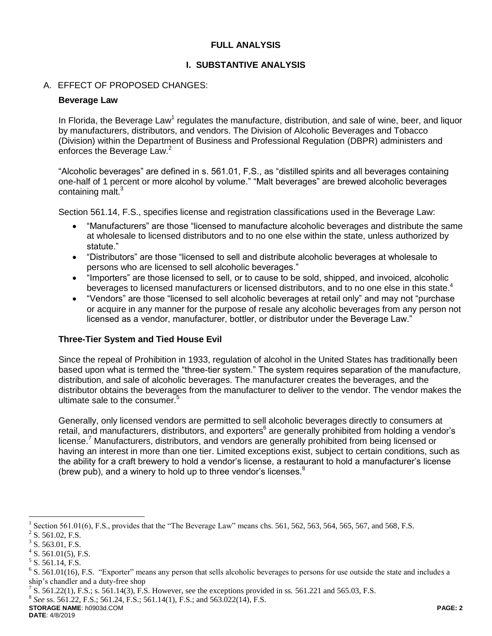# **FULL ANALYSIS**

### **I. SUBSTANTIVE ANALYSIS**

### A. EFFECT OF PROPOSED CHANGES:

#### **Beverage Law**

In Florida, the Beverage Law<sup>1</sup> regulates the manufacture, distribution, and sale of wine, beer, and liquor by manufacturers, distributors, and vendors. The Division of Alcoholic Beverages and Tobacco (Division) within the Department of Business and Professional Regulation (DBPR) administers and enforces the Beverage Law.<sup>2</sup>

"Alcoholic beverages" are defined in s. 561.01, F.S., as "distilled spirits and all beverages containing one-half of 1 percent or more alcohol by volume." "Malt beverages" are brewed alcoholic beverages containing malt.<sup>3</sup>

Section 561.14, F.S., specifies license and registration classifications used in the Beverage Law:

- "Manufacturers" are those "licensed to manufacture alcoholic beverages and distribute the same at wholesale to licensed distributors and to no one else within the state, unless authorized by statute."
- "Distributors" are those "licensed to sell and distribute alcoholic beverages at wholesale to persons who are licensed to sell alcoholic beverages."
- "Importers" are those licensed to sell, or to cause to be sold, shipped, and invoiced, alcoholic beverages to licensed manufacturers or licensed distributors, and to no one else in this state.<sup>4</sup>
- "Vendors" are those "licensed to sell alcoholic beverages at retail only" and may not "purchase or acquire in any manner for the purpose of resale any alcoholic beverages from any person not licensed as a vendor, manufacturer, bottler, or distributor under the Beverage Law."

# **Three-Tier System and Tied House Evil**

Since the repeal of Prohibition in 1933, regulation of alcohol in the United States has traditionally been based upon what is termed the "three-tier system." The system requires separation of the manufacture, distribution, and sale of alcoholic beverages. The manufacturer creates the beverages, and the distributor obtains the beverages from the manufacturer to deliver to the vendor. The vendor makes the ultimate sale to the consumer.<sup>5</sup>

Generally, only licensed vendors are permitted to sell alcoholic beverages directly to consumers at retail, and manufacturers, distributors, and exporters<sup>6</sup> are generally prohibited from holding a vendor's license.<sup>7</sup> Manufacturers, distributors, and vendors are generally prohibited from being licensed or having an interest in more than one tier. Limited exceptions exist, subject to certain conditions, such as the ability for a craft brewery to hold a vendor's license, a restaurant to hold a manufacturer's license (brew pub), and a winery to hold up to three vendor's licenses. $8$ 

 $\overline{a}$ 

8 *See* ss. 561.22, F.S.; 561.24, F.S.; 561.14(1), F.S.; and 563.022(14), F.S.

**STORAGE NAME**: h0903d.COM **PAGE: 2 DATE**: 4/8/2019

<sup>1</sup> Section 561.01(6), F.S., provides that the "The Beverage Law" means chs. 561, 562, 563, 564, 565, 567, and 568, F.S.

 $2^2$  S. 561.02, F.S.

 $3$  S. 563.01, F.S.

 $4$  S. 561.01(5), F.S.

 $<sup>5</sup>$  S. 561.14, F.S.</sup>

 $6$  S. 561.01(16), F.S. "Exporter" means any person that sells alcoholic beverages to persons for use outside the state and includes a ship's chandler and a duty-free shop

<sup>&</sup>lt;sup>7</sup> S. 561.22(1), F.S.; s. 561.14(3), F.S. However, see the exceptions provided in ss. 561.221 and 565.03, F.S.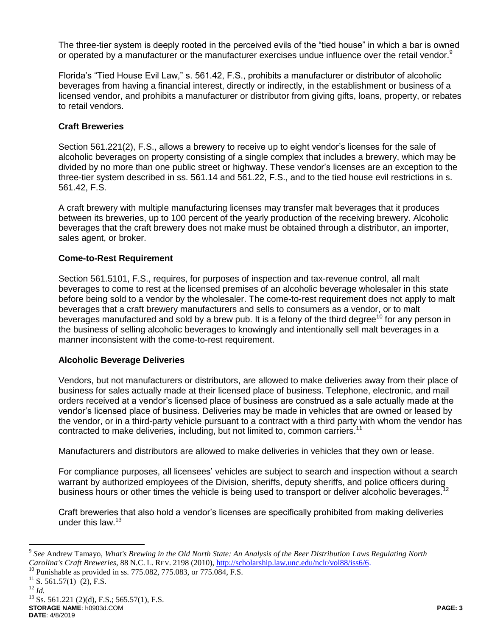The three-tier system is deeply rooted in the perceived evils of the "tied house" in which a bar is owned or operated by a manufacturer or the manufacturer exercises undue influence over the retail vendor.<sup>9</sup>

Florida's "Tied House Evil Law," s. 561.42, F.S., prohibits a manufacturer or distributor of alcoholic beverages from having a financial interest, directly or indirectly, in the establishment or business of a licensed vendor, and prohibits a manufacturer or distributor from giving gifts, loans, property, or rebates to retail vendors.

# **Craft Breweries**

Section 561.221(2), F.S., allows a brewery to receive up to eight vendor's licenses for the sale of alcoholic beverages on property consisting of a single complex that includes a brewery, which may be divided by no more than one public street or highway. These vendor's licenses are an exception to the three-tier system described in ss. 561.14 and 561.22, F.S., and to the tied house evil restrictions in s. 561.42, F.S.

A craft brewery with multiple manufacturing licenses may transfer malt beverages that it produces between its breweries, up to 100 percent of the yearly production of the receiving brewery. Alcoholic beverages that the craft brewery does not make must be obtained through a distributor, an importer, sales agent, or broker.

### **Come-to-Rest Requirement**

Section 561.5101, F.S., requires, for purposes of inspection and tax-revenue control, all malt beverages to come to rest at the licensed premises of an alcoholic beverage wholesaler in this state before being sold to a vendor by the wholesaler. The come-to-rest requirement does not apply to malt beverages that a craft brewery manufacturers and sells to consumers as a vendor, or to malt beverages manufactured and sold by a brew pub. It is a felony of the third degree<sup>10</sup> for any person in the business of selling alcoholic beverages to knowingly and intentionally sell malt beverages in a manner inconsistent with the come-to-rest requirement.

#### **Alcoholic Beverage Deliveries**

Vendors, but not manufacturers or distributors, are allowed to make deliveries away from their place of business for sales actually made at their licensed place of business. Telephone, electronic, and mail orders received at a vendor's licensed place of business are construed as a sale actually made at the vendor's licensed place of business. Deliveries may be made in vehicles that are owned or leased by the vendor, or in a third-party vehicle pursuant to a contract with a third party with whom the vendor has contracted to make deliveries, including, but not limited to, common carriers.<sup>11</sup>

Manufacturers and distributors are allowed to make deliveries in vehicles that they own or lease.

For compliance purposes, all licensees' vehicles are subject to search and inspection without a search warrant by authorized employees of the Division, sheriffs, deputy sheriffs, and police officers during<br>business bours at other times the vehicle is being used to transport at deliver alsoholic beverages <sup>12</sup> business hours or other times the vehicle is being used to transport or deliver alcoholic beverages.

Craft breweries that also hold a vendor's licenses are specifically prohibited from making deliveries under this law.<sup>13</sup>

 $\overline{a}$ 

**STORAGE NAME**: h0903d.COM **PAGE: 3 DATE**: 4/8/2019  $^{13}$  Ss. 561.221 (2)(d), F.S.; 565.57(1), F.S.

<sup>9</sup> *See* Andrew Tamayo, *What's Brewing in the Old North State: An Analysis of the Beer Distribution Laws Regulating North Carolina's Craft Breweries*, 88 N.C. L. REV. 2198 (2010), [http://scholarship.law.unc.edu/nclr/vol88/iss6/6.](http://scholarship.law.unc.edu/nclr/vol88/iss6/6)

<sup>&</sup>lt;sup>10</sup> Punishable as provided in ss. 775.082, 775.083, or 775.084, F.S.

 $^{11}$  S. 561.57(1)–(2), F.S.

<sup>12</sup> *Id.*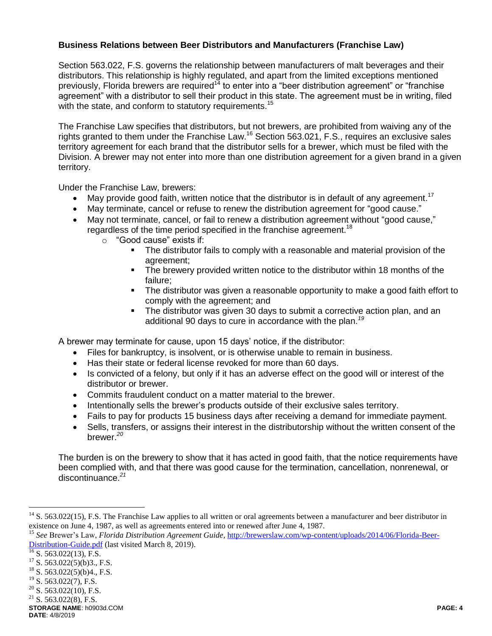# **Business Relations between Beer Distributors and Manufacturers (Franchise Law)**

Section 563.022, F.S. governs the relationship between manufacturers of malt beverages and their distributors. This relationship is highly regulated, and apart from the limited exceptions mentioned previously, Florida brewers are required<sup>14</sup> to enter into a "beer distribution agreement" or "franchise agreement" with a distributor to sell their product in this state. The agreement must be in writing, filed with the state, and conform to statutory requirements.<sup>15</sup>

The Franchise Law specifies that distributors, but not brewers, are prohibited from waiving any of the rights granted to them under the Franchise Law.<sup>16</sup> Section 563.021, F.S., requires an exclusive sales territory agreement for each brand that the distributor sells for a brewer, which must be filed with the Division. A brewer may not enter into more than one distribution agreement for a given brand in a given territory.

Under the Franchise Law, brewers:

- May provide good faith, written notice that the distributor is in default of any agreement.<sup>17</sup>
- May terminate, cancel or refuse to renew the distribution agreement for "good cause."
- May not terminate, cancel, or fail to renew a distribution agreement without "good cause," regardless of the time period specified in the franchise agreement.<sup>18</sup>
	- o "Good cause" exists if:
		- The distributor fails to comply with a reasonable and material provision of the agreement;
		- The brewery provided written notice to the distributor within 18 months of the failure;
		- **The distributor was given a reasonable opportunity to make a good faith effort to** comply with the agreement; and
		- The distributor was given 30 days to submit a corrective action plan, and an additional 90 days to cure in accordance with the plan.*<sup>19</sup>*

A brewer may terminate for cause, upon 15 days' notice, if the distributor:

- Files for bankruptcy, is insolvent, or is otherwise unable to remain in business.
- Has their state or federal license revoked for more than 60 days.
- Is convicted of a felony, but only if it has an adverse effect on the good will or interest of the distributor or brewer.
- Commits fraudulent conduct on a matter material to the brewer.
- Intentionally sells the brewer's products outside of their exclusive sales territory.
- Fails to pay for products 15 business days after receiving a demand for immediate payment.
- Sells, transfers, or assigns their interest in the distributorship without the written consent of the brewer. *20*

The burden is on the brewery to show that it has acted in good faith, that the notice requirements have been complied with, and that there was good cause for the termination, cancellation, nonrenewal, or discontinuance.*<sup>21</sup>*

 $\overline{a}$ 

 $14$  S. 563.022(15), F.S. The Franchise Law applies to all written or oral agreements between a manufacturer and beer distributor in existence on June 4, 1987, as well as agreements entered into or renewed after June 4, 1987.

<sup>15</sup> *See* Brewer's Law, *Florida Distribution Agreement Guide,* [http://brewerslaw.com/wp-content/uploads/2014/06/Florida-Beer-](http://brewerslaw.com/wp-content/uploads/2014/06/Florida-Beer-Distribution-Guide.pdf)[Distribution-Guide.pdf](http://brewerslaw.com/wp-content/uploads/2014/06/Florida-Beer-Distribution-Guide.pdf) (last visited March 8, 2019).

 $\frac{16}{16}$  S. 563.022(13), F.S.

 $17$  S. 563.022(5)(b)3., F.S.

<sup>&</sup>lt;sup>18</sup> S. 563.022(5)(b)4., F.S.<br><sup>19</sup> S. 563.022(7), F.S.

S. 563.022(7), F.S.

 $20$  S. 563.022(10), F.S.

 $21$  S. 563.022(8), F.S.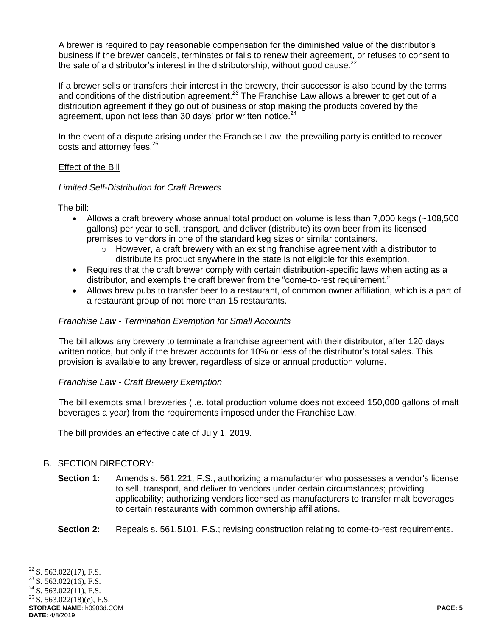A brewer is required to pay reasonable compensation for the diminished value of the distributor's business if the brewer cancels, terminates or fails to renew their agreement, or refuses to consent to the sale of a distributor's interest in the distributorship, without good cause. $^{22}$ 

If a brewer sells or transfers their interest in the brewery, their successor is also bound by the terms and conditions of the distribution agreement.*<sup>23</sup>* The Franchise Law allows a brewer to get out of a distribution agreement if they go out of business or stop making the products covered by the agreement, upon not less than 30 days' prior written notice.<sup>24</sup>

In the event of a dispute arising under the Franchise Law, the prevailing party is entitled to recover costs and attorney fees.<sup>25</sup>

#### Effect of the Bill

### *Limited Self-Distribution for Craft Brewers*

The bill:

- Allows a craft brewery whose annual total production volume is less than 7,000 kegs (~108,500 gallons) per year to sell, transport, and deliver (distribute) its own beer from its licensed premises to vendors in one of the standard keg sizes or similar containers.
	- $\circ$  However, a craft brewery with an existing franchise agreement with a distributor to distribute its product anywhere in the state is not eligible for this exemption.
- Requires that the craft brewer comply with certain distribution-specific laws when acting as a distributor, and exempts the craft brewer from the "come-to-rest requirement."
- Allows brew pubs to transfer beer to a restaurant, of common owner affiliation, which is a part of a restaurant group of not more than 15 restaurants.

### *Franchise Law - Termination Exemption for Small Accounts*

The bill allows any brewery to terminate a franchise agreement with their distributor, after 120 days written notice, but only if the brewer accounts for 10% or less of the distributor's total sales. This provision is available to any brewer, regardless of size or annual production volume.

# *Franchise Law - Craft Brewery Exemption*

The bill exempts small breweries (i.e. total production volume does not exceed 150,000 gallons of malt beverages a year) from the requirements imposed under the Franchise Law.

The bill provides an effective date of July 1, 2019.

# B. SECTION DIRECTORY:

- **Section 1:** Amends s. 561.221, F.S., authorizing a manufacturer who possesses a vendor's license to sell, transport, and deliver to vendors under certain circumstances; providing applicability; authorizing vendors licensed as manufacturers to transfer malt beverages to certain restaurants with common ownership affiliations.
- Section 2: Repeals s. 561.5101, F.S.; revising construction relating to come-to-rest requirements.

 $\overline{a}$  $22$  S. 563.022(17), F.S.

<sup>&</sup>lt;sup>23</sup> S. 563.022(16), F.S.<br><sup>24</sup> S. 563.022(11), F.S.

S. 563.022(11), F.S.

<sup>&</sup>lt;sup>25</sup> S. 563.022(18)(c), F.S.

**STORAGE NAME**: h0903d.COM **PAGE: 5 DATE**: 4/8/2019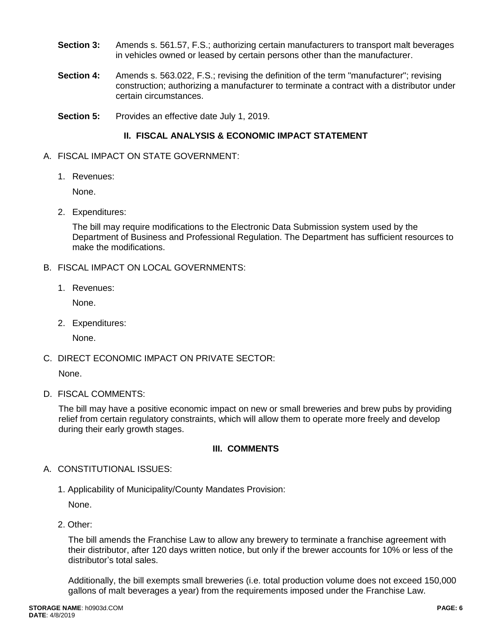- **Section 3:** Amends s. 561.57, F.S.; authorizing certain manufacturers to transport malt beverages in vehicles owned or leased by certain persons other than the manufacturer.
- **Section 4:** Amends s. 563.022, F.S.; revising the definition of the term "manufacturer"; revising construction; authorizing a manufacturer to terminate a contract with a distributor under certain circumstances.
- **Section 5:** Provides an effective date July 1, 2019.

# **II. FISCAL ANALYSIS & ECONOMIC IMPACT STATEMENT**

- A. FISCAL IMPACT ON STATE GOVERNMENT:
	- 1. Revenues:

None.

2. Expenditures:

The bill may require modifications to the Electronic Data Submission system used by the Department of Business and Professional Regulation. The Department has sufficient resources to make the modifications.

- B. FISCAL IMPACT ON LOCAL GOVERNMENTS:
	- 1. Revenues:

None.

2. Expenditures:

None.

C. DIRECT ECONOMIC IMPACT ON PRIVATE SECTOR:

None.

D. FISCAL COMMENTS:

The bill may have a positive economic impact on new or small breweries and brew pubs by providing relief from certain regulatory constraints, which will allow them to operate more freely and develop during their early growth stages.

# **III. COMMENTS**

- A. CONSTITUTIONAL ISSUES:
	- 1. Applicability of Municipality/County Mandates Provision:

None.

2. Other:

The bill amends the Franchise Law to allow any brewery to terminate a franchise agreement with their distributor, after 120 days written notice, but only if the brewer accounts for 10% or less of the distributor's total sales.

Additionally, the bill exempts small breweries (i.e. total production volume does not exceed 150,000 gallons of malt beverages a year) from the requirements imposed under the Franchise Law.